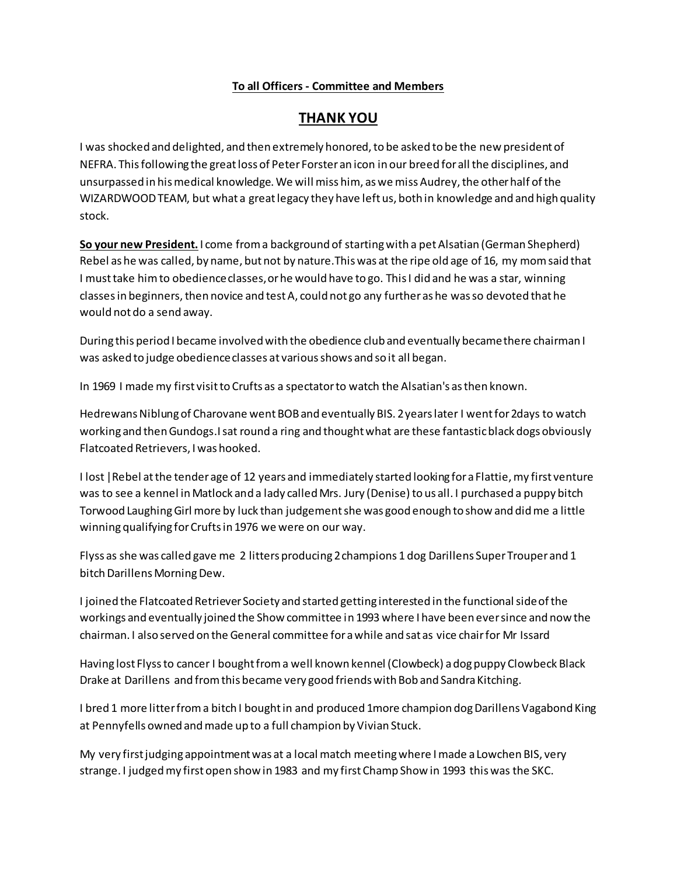## **To all Officers - Committee and Members**

## **THANK YOU**

I was shocked and delighted, and then extremely honored, to be asked to be the new president of NEFRA. This following the great loss of Peter Forster an icon in our breed for all the disciplines, and unsurpassed in his medical knowledge. We will miss him, as we miss Audrey, the other half of the WIZARDWOOD TEAM, but what a great legacy they have left us, both in knowledge and and high quality stock.

**So your new President.** I come from a background of starting with a pet Alsatian (German Shepherd) Rebel as he was called, by name, but not by nature.This was at the ripe old age of 16, my mom said that I must take him to obedience classes, or he would have to go. This I did and he was a star, winning classes in beginners, then novice and test A, could not go any further as he was so devoted that he would not do a send away.

During this period I became involved with the obedience club and eventually became there chairman I was asked to judge obedience classes at various shows and so it all began.

In 1969 I made my first visit to Crufts as a spectator to watch the Alsatian's as then known.

Hedrewans Niblung of Charovane went BOB and eventually BIS. 2 years later I went for 2days to watch working and then Gundogs.I sat round a ring and thought what are these fantastic black dogs obviously Flatcoated Retrievers, I was hooked.

I lost |Rebel at the tender age of 12 years and immediately started looking for a Flattie, my first venture was to see a kennel in Matlock and a lady called Mrs. Jury (Denise) to us all. I purchased a puppy bitch Torwood Laughing Girl more by luck than judgement she was good enough to show and did me a little winning qualifying for Crufts in 1976 we were on our way.

Flyss as she was called gave me 2 litters producing 2 champions 1 dog Darillens Super Trouper and 1 bitch Darillens Morning Dew.

I joined the Flatcoated Retriever Society and started getting interested in the functional side of the workings and eventually joined the Show committee in 1993 where I have been ever since and now the chairman. I also served on the General committee for a while and sat as vice chair for Mr Issard

Having lost Flyss to cancer I bought from a well known kennel (Clowbeck) a dog puppy Clowbeck Black Drake at Darillens and from this became very good friends with Bob and Sandra Kitching.

I bred 1 more litter from a bitch I bought in and produced 1more champion dog Darillens Vagabond King at Pennyfells owned and made up to a full champion by Vivian Stuck.

My very first judging appointment was at a local match meeting where I made a Lowchen BIS, very strange. I judged my first open show in 1983 and my first Champ Show in 1993 this was the SKC.